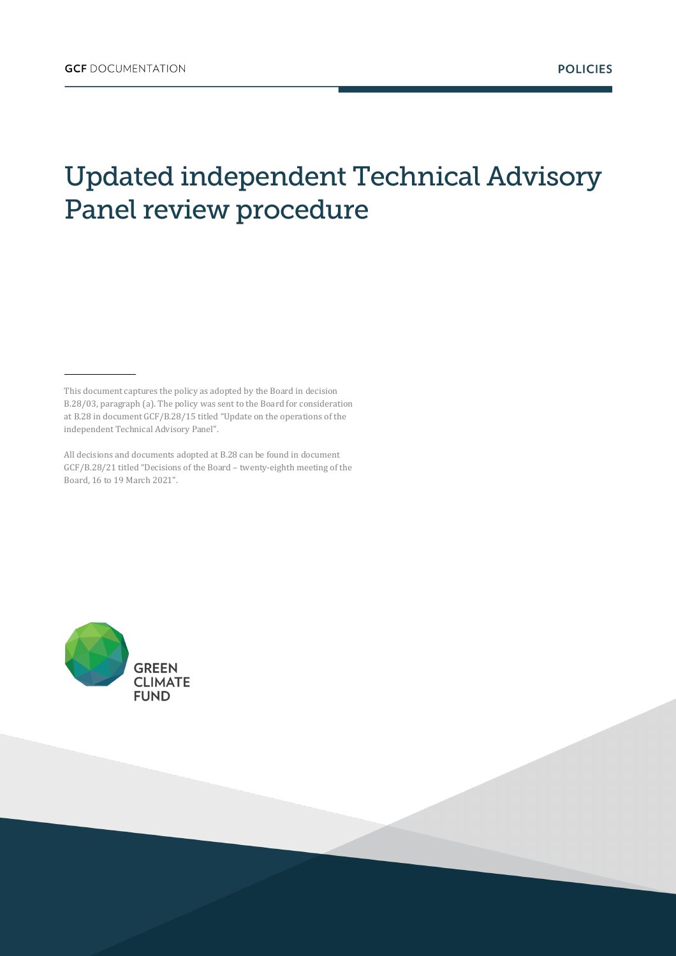## Updated independent Technical Advisory Panel review procedure



This document captures the policy as adopted by the Board in decision B.28/03, paragraph (a). The policy was sent to the Board for consideration at B.28 in document GCF/B.28/15 titled "Update on the operations of the independent Technical Advisory Panel".

All decisions and documents adopted at B.28 can be found in document GCF/B.28/21 titled "Decisions of the Board – twenty-eighth meeting of the Board, 16 to 19 March 2021".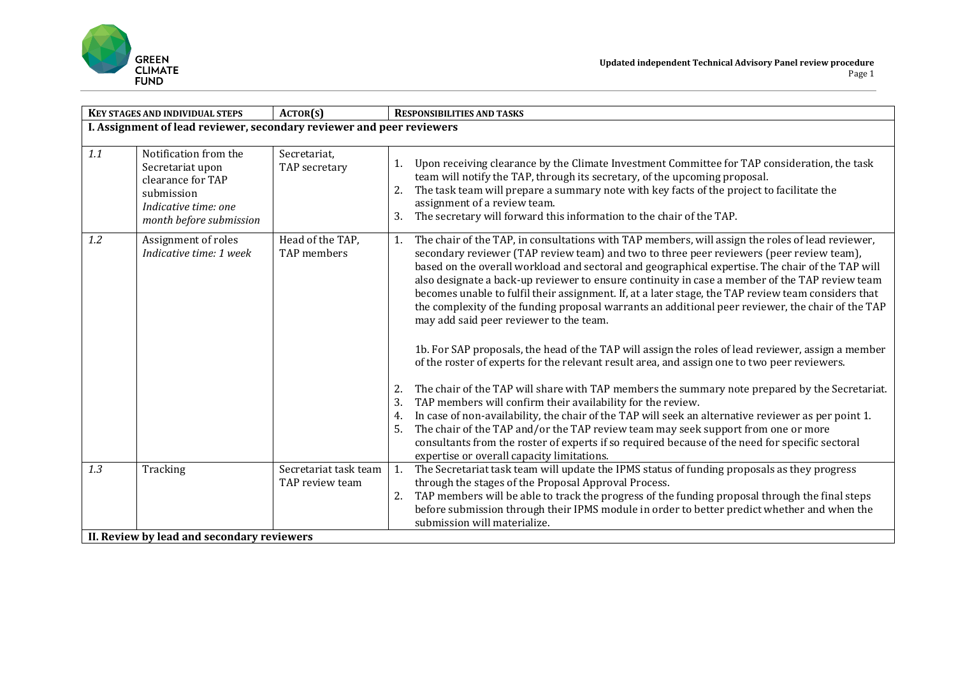

| <b>KEY STAGES AND INDIVIDUAL STEPS</b>                                |                                                                                                                                 | ACTOR(S)                                 | <b>RESPONSIBILITIES AND TASKS</b>                                                                                                                                                                                                                                                                                                                                                                                                                                                                                                                                                                                                                                                                                                                                                                                                                                                                                                                                                                                                                                                                                                                                                                                                                                                                                                                                                                           |  |  |  |  |
|-----------------------------------------------------------------------|---------------------------------------------------------------------------------------------------------------------------------|------------------------------------------|-------------------------------------------------------------------------------------------------------------------------------------------------------------------------------------------------------------------------------------------------------------------------------------------------------------------------------------------------------------------------------------------------------------------------------------------------------------------------------------------------------------------------------------------------------------------------------------------------------------------------------------------------------------------------------------------------------------------------------------------------------------------------------------------------------------------------------------------------------------------------------------------------------------------------------------------------------------------------------------------------------------------------------------------------------------------------------------------------------------------------------------------------------------------------------------------------------------------------------------------------------------------------------------------------------------------------------------------------------------------------------------------------------------|--|--|--|--|
| I. Assignment of lead reviewer, secondary reviewer and peer reviewers |                                                                                                                                 |                                          |                                                                                                                                                                                                                                                                                                                                                                                                                                                                                                                                                                                                                                                                                                                                                                                                                                                                                                                                                                                                                                                                                                                                                                                                                                                                                                                                                                                                             |  |  |  |  |
| 1.1                                                                   | Notification from the<br>Secretariat upon<br>clearance for TAP<br>submission<br>Indicative time: one<br>month before submission | Secretariat,<br>TAP secretary            | Upon receiving clearance by the Climate Investment Committee for TAP consideration, the task<br>team will notify the TAP, through its secretary, of the upcoming proposal.<br>The task team will prepare a summary note with key facts of the project to facilitate the<br>assignment of a review team.<br>The secretary will forward this information to the chair of the TAP.<br>3.                                                                                                                                                                                                                                                                                                                                                                                                                                                                                                                                                                                                                                                                                                                                                                                                                                                                                                                                                                                                                       |  |  |  |  |
| 1.2                                                                   | Assignment of roles<br>Indicative time: 1 week                                                                                  | Head of the TAP,<br>TAP members          | The chair of the TAP, in consultations with TAP members, will assign the roles of lead reviewer,<br>1.<br>secondary reviewer (TAP review team) and two to three peer reviewers (peer review team),<br>based on the overall workload and sectoral and geographical expertise. The chair of the TAP will<br>also designate a back-up reviewer to ensure continuity in case a member of the TAP review team<br>becomes unable to fulfil their assignment. If, at a later stage, the TAP review team considers that<br>the complexity of the funding proposal warrants an additional peer reviewer, the chair of the TAP<br>may add said peer reviewer to the team.<br>1b. For SAP proposals, the head of the TAP will assign the roles of lead reviewer, assign a member<br>of the roster of experts for the relevant result area, and assign one to two peer reviewers.<br>The chair of the TAP will share with TAP members the summary note prepared by the Secretariat.<br>2.<br>TAP members will confirm their availability for the review.<br>3.<br>In case of non-availability, the chair of the TAP will seek an alternative reviewer as per point 1.<br>4.<br>The chair of the TAP and/or the TAP review team may seek support from one or more<br>5.<br>consultants from the roster of experts if so required because of the need for specific sectoral<br>expertise or overall capacity limitations. |  |  |  |  |
| 1.3                                                                   | Tracking                                                                                                                        | Secretariat task team<br>TAP review team | The Secretariat task team will update the IPMS status of funding proposals as they progress<br>1.<br>through the stages of the Proposal Approval Process.<br>TAP members will be able to track the progress of the funding proposal through the final steps<br>2.<br>before submission through their IPMS module in order to better predict whether and when the<br>submission will materialize.                                                                                                                                                                                                                                                                                                                                                                                                                                                                                                                                                                                                                                                                                                                                                                                                                                                                                                                                                                                                            |  |  |  |  |
| II. Review by lead and secondary reviewers                            |                                                                                                                                 |                                          |                                                                                                                                                                                                                                                                                                                                                                                                                                                                                                                                                                                                                                                                                                                                                                                                                                                                                                                                                                                                                                                                                                                                                                                                                                                                                                                                                                                                             |  |  |  |  |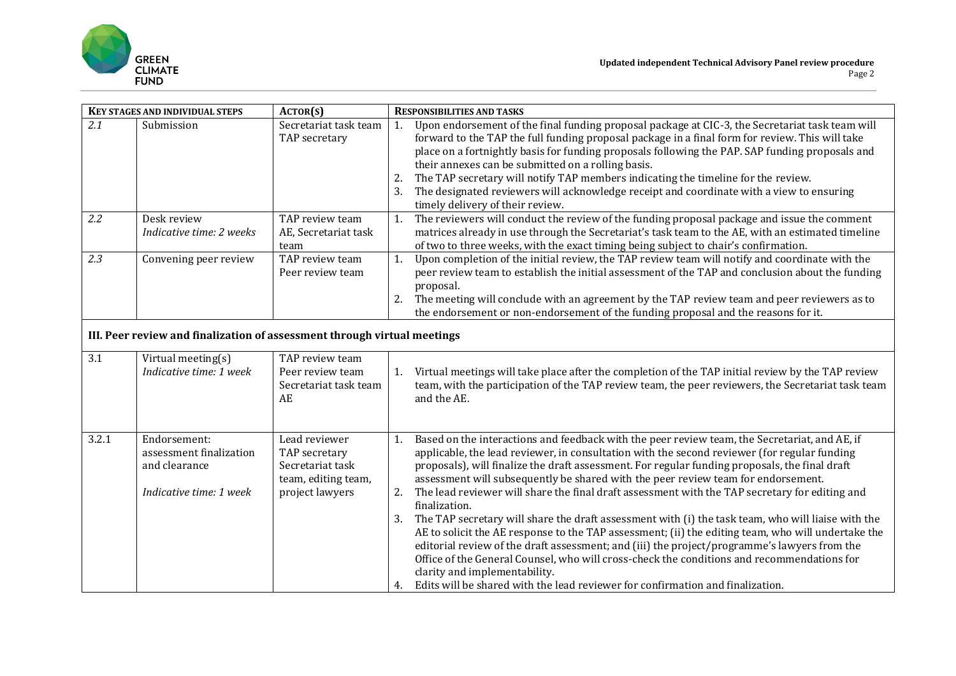

| <b>KEY STAGES AND INDIVIDUAL STEPS</b>                                   |                                                                                     | ACTOR(S)                                                                                     | <b>RESPONSIBILITIES AND TASKS</b>                                                                                                                                                                                                                                                                                                                                                                                                                                                                                                                                                                                                                                                                                                                                                                                                                                                                                                                                                                                                                   |  |  |  |
|--------------------------------------------------------------------------|-------------------------------------------------------------------------------------|----------------------------------------------------------------------------------------------|-----------------------------------------------------------------------------------------------------------------------------------------------------------------------------------------------------------------------------------------------------------------------------------------------------------------------------------------------------------------------------------------------------------------------------------------------------------------------------------------------------------------------------------------------------------------------------------------------------------------------------------------------------------------------------------------------------------------------------------------------------------------------------------------------------------------------------------------------------------------------------------------------------------------------------------------------------------------------------------------------------------------------------------------------------|--|--|--|
| 2.1                                                                      | Submission                                                                          | Secretariat task team<br>TAP secretary                                                       | Upon endorsement of the final funding proposal package at CIC-3, the Secretariat task team will<br>1.<br>forward to the TAP the full funding proposal package in a final form for review. This will take<br>place on a fortnightly basis for funding proposals following the PAP. SAP funding proposals and<br>their annexes can be submitted on a rolling basis.<br>The TAP secretary will notify TAP members indicating the timeline for the review.<br>2.<br>The designated reviewers will acknowledge receipt and coordinate with a view to ensuring<br>timely delivery of their review.                                                                                                                                                                                                                                                                                                                                                                                                                                                        |  |  |  |
| 2.2                                                                      | Desk review<br>Indicative time: 2 weeks                                             | TAP review team<br>AE, Secretariat task<br>team                                              | The reviewers will conduct the review of the funding proposal package and issue the comment<br>1.<br>matrices already in use through the Secretariat's task team to the AE, with an estimated timeline<br>of two to three weeks, with the exact timing being subject to chair's confirmation.                                                                                                                                                                                                                                                                                                                                                                                                                                                                                                                                                                                                                                                                                                                                                       |  |  |  |
| 2.3                                                                      | Convening peer review                                                               | TAP review team<br>Peer review team                                                          | Upon completion of the initial review, the TAP review team will notify and coordinate with the<br>1.<br>peer review team to establish the initial assessment of the TAP and conclusion about the funding<br>proposal.<br>The meeting will conclude with an agreement by the TAP review team and peer reviewers as to<br>the endorsement or non-endorsement of the funding proposal and the reasons for it.                                                                                                                                                                                                                                                                                                                                                                                                                                                                                                                                                                                                                                          |  |  |  |
| III. Peer review and finalization of assessment through virtual meetings |                                                                                     |                                                                                              |                                                                                                                                                                                                                                                                                                                                                                                                                                                                                                                                                                                                                                                                                                                                                                                                                                                                                                                                                                                                                                                     |  |  |  |
| 3.1                                                                      | Virtual meeting(s)<br>Indicative time: 1 week                                       | TAP review team<br>Peer review team<br>Secretariat task team<br>AE                           | Virtual meetings will take place after the completion of the TAP initial review by the TAP review<br>$\mathbf{1}$ .<br>team, with the participation of the TAP review team, the peer reviewers, the Secretariat task team<br>and the AE.                                                                                                                                                                                                                                                                                                                                                                                                                                                                                                                                                                                                                                                                                                                                                                                                            |  |  |  |
| 3.2.1                                                                    | Endorsement:<br>assessment finalization<br>and clearance<br>Indicative time: 1 week | Lead reviewer<br>TAP secretary<br>Secretariat task<br>team, editing team,<br>project lawyers | Based on the interactions and feedback with the peer review team, the Secretariat, and AE, if<br>1.<br>applicable, the lead reviewer, in consultation with the second reviewer (for regular funding<br>proposals), will finalize the draft assessment. For regular funding proposals, the final draft<br>assessment will subsequently be shared with the peer review team for endorsement.<br>The lead reviewer will share the final draft assessment with the TAP secretary for editing and<br>2.<br>finalization.<br>The TAP secretary will share the draft assessment with (i) the task team, who will liaise with the<br>AE to solicit the AE response to the TAP assessment; (ii) the editing team, who will undertake the<br>editorial review of the draft assessment; and (iii) the project/programme's lawyers from the<br>Office of the General Counsel, who will cross-check the conditions and recommendations for<br>clarity and implementability.<br>4. Edits will be shared with the lead reviewer for confirmation and finalization. |  |  |  |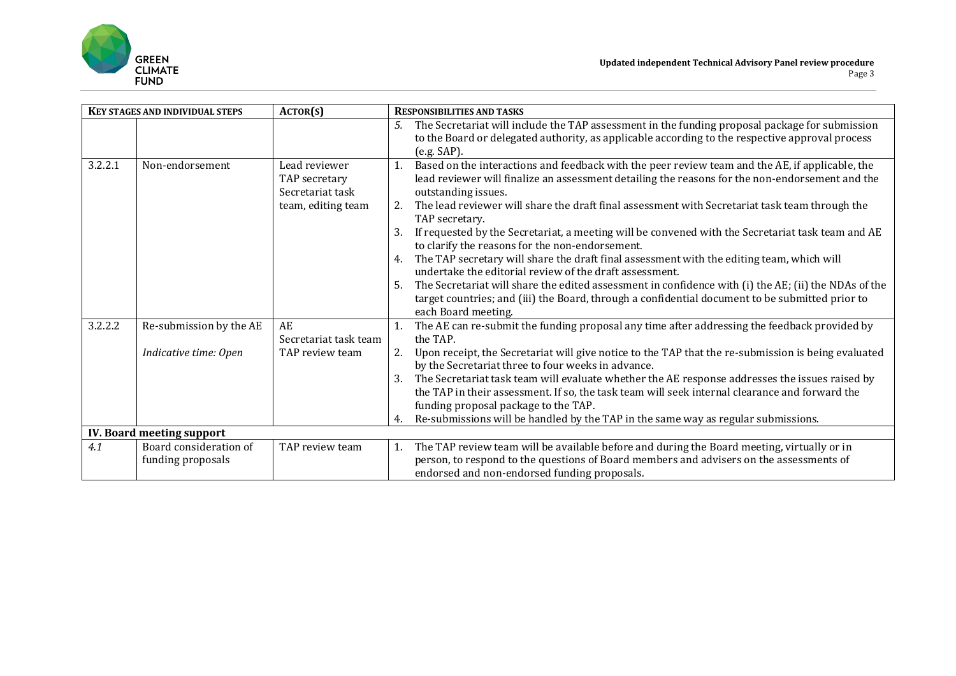

| <b>KEY STAGES AND INDIVIDUAL STEPS</b> |                                                  | ACTOR(S)                                                                 | <b>RESPONSIBILITIES AND TASKS</b>                                                                                                                                                                                                                                                                                                                                                                                                                                                                                                                                                                                                                                                                                                                                                                                                                                                                                 |  |  |
|----------------------------------------|--------------------------------------------------|--------------------------------------------------------------------------|-------------------------------------------------------------------------------------------------------------------------------------------------------------------------------------------------------------------------------------------------------------------------------------------------------------------------------------------------------------------------------------------------------------------------------------------------------------------------------------------------------------------------------------------------------------------------------------------------------------------------------------------------------------------------------------------------------------------------------------------------------------------------------------------------------------------------------------------------------------------------------------------------------------------|--|--|
|                                        |                                                  |                                                                          | The Secretariat will include the TAP assessment in the funding proposal package for submission<br>5.<br>to the Board or delegated authority, as applicable according to the respective approval process<br>(e.g. SAP).                                                                                                                                                                                                                                                                                                                                                                                                                                                                                                                                                                                                                                                                                            |  |  |
| 3.2.2.1                                | Non-endorsement                                  | Lead reviewer<br>TAP secretary<br>Secretariat task<br>team, editing team | Based on the interactions and feedback with the peer review team and the AE, if applicable, the<br>lead reviewer will finalize an assessment detailing the reasons for the non-endorsement and the<br>outstanding issues.<br>The lead reviewer will share the draft final assessment with Secretariat task team through the<br>2.<br>TAP secretary.<br>If requested by the Secretariat, a meeting will be convened with the Secretariat task team and AE<br>to clarify the reasons for the non-endorsement.<br>The TAP secretary will share the draft final assessment with the editing team, which will<br>4.<br>undertake the editorial review of the draft assessment.<br>The Secretariat will share the edited assessment in confidence with (i) the AE; (ii) the NDAs of the<br>5.<br>target countries; and (iii) the Board, through a confidential document to be submitted prior to<br>each Board meeting. |  |  |
| 3.2.2.2                                | Re-submission by the AE<br>Indicative time: Open | AE<br>Secretariat task team<br>TAP review team                           | The AE can re-submit the funding proposal any time after addressing the feedback provided by<br>the TAP.<br>Upon receipt, the Secretariat will give notice to the TAP that the re-submission is being evaluated<br>by the Secretariat three to four weeks in advance.<br>The Secretariat task team will evaluate whether the AE response addresses the issues raised by<br>3.<br>the TAP in their assessment. If so, the task team will seek internal clearance and forward the                                                                                                                                                                                                                                                                                                                                                                                                                                   |  |  |
|                                        |                                                  |                                                                          | funding proposal package to the TAP.<br>Re-submissions will be handled by the TAP in the same way as regular submissions.<br>4.                                                                                                                                                                                                                                                                                                                                                                                                                                                                                                                                                                                                                                                                                                                                                                                   |  |  |
| <b>IV. Board meeting support</b>       |                                                  |                                                                          |                                                                                                                                                                                                                                                                                                                                                                                                                                                                                                                                                                                                                                                                                                                                                                                                                                                                                                                   |  |  |
| 4.1                                    | Board consideration of<br>funding proposals      | TAP review team                                                          | The TAP review team will be available before and during the Board meeting, virtually or in<br>1.<br>person, to respond to the questions of Board members and advisers on the assessments of<br>endorsed and non-endorsed funding proposals.                                                                                                                                                                                                                                                                                                                                                                                                                                                                                                                                                                                                                                                                       |  |  |